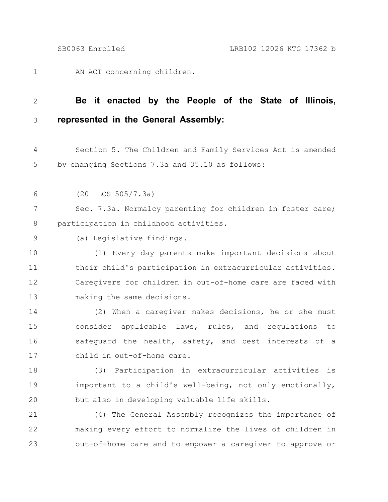AN ACT concerning children. 1

## **Be it enacted by the People of the State of Illinois, represented in the General Assembly:** 2 3

Section 5. The Children and Family Services Act is amended by changing Sections 7.3a and 35.10 as follows: 4 5

(20 ILCS 505/7.3a) 6

Sec. 7.3a. Normalcy parenting for children in foster care; participation in childhood activities. 7 8

(a) Legislative findings. 9

(1) Every day parents make important decisions about their child's participation in extracurricular activities. Caregivers for children in out-of-home care are faced with making the same decisions. 10 11 12 13

(2) When a caregiver makes decisions, he or she must consider applicable laws, rules, and regulations to safequard the health, safety, and best interests of a child in out-of-home care. 14 15 16 17

(3) Participation in extracurricular activities is important to a child's well-being, not only emotionally, but also in developing valuable life skills. 18 19 20

(4) The General Assembly recognizes the importance of making every effort to normalize the lives of children in out-of-home care and to empower a caregiver to approve or 21 22 23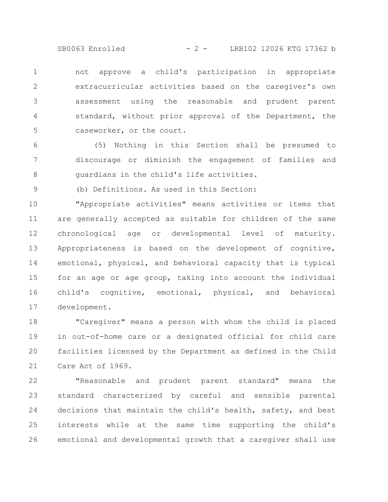SB0063 Enrolled - 2 - LRB102 12026 KTG 17362 b

not approve a child's participation in appropriate extracurricular activities based on the caregiver's own assessment using the reasonable and prudent parent standard, without prior approval of the Department, the caseworker, or the court. 1 2 3 4 5

(5) Nothing in this Section shall be presumed to discourage or diminish the engagement of families and guardians in the child's life activities. 6 7 8

(b) Definitions. As used in this Section:

9

"Appropriate activities" means activities or items that are generally accepted as suitable for children of the same chronological age or developmental level of maturity. Appropriateness is based on the development of cognitive, emotional, physical, and behavioral capacity that is typical for an age or age group, taking into account the individual child's cognitive, emotional, physical, and behavioral development. 10 11 12 13 14 15 16 17

"Caregiver" means a person with whom the child is placed in out-of-home care or a designated official for child care facilities licensed by the Department as defined in the Child Care Act of 1969. 18 19 20 21

"Reasonable and prudent parent standard" means the standard characterized by careful and sensible parental decisions that maintain the child's health, safety, and best interests while at the same time supporting the child's emotional and developmental growth that a caregiver shall use 22 23 24 25 26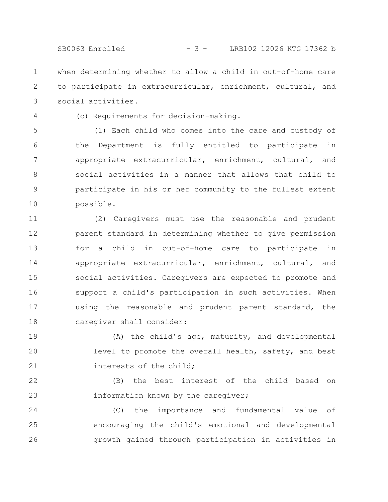SB0063 Enrolled - 3 - LRB102 12026 KTG 17362 b

when determining whether to allow a child in out-of-home care to participate in extracurricular, enrichment, cultural, and social activities. 1 2 3

4

(c) Requirements for decision-making.

(1) Each child who comes into the care and custody of the Department is fully entitled to participate in appropriate extracurricular, enrichment, cultural, and social activities in a manner that allows that child to participate in his or her community to the fullest extent possible. 5 6 7 8 9 10

(2) Caregivers must use the reasonable and prudent parent standard in determining whether to give permission for a child in out-of-home care to participate in appropriate extracurricular, enrichment, cultural, and social activities. Caregivers are expected to promote and support a child's participation in such activities. When using the reasonable and prudent parent standard, the caregiver shall consider: 11 12 13 14 15 16 17 18

(A) the child's age, maturity, and developmental level to promote the overall health, safety, and best interests of the child; 19 20 21

(B) the best interest of the child based on information known by the caregiver; 22 23

(C) the importance and fundamental value of encouraging the child's emotional and developmental growth gained through participation in activities in 24 25 26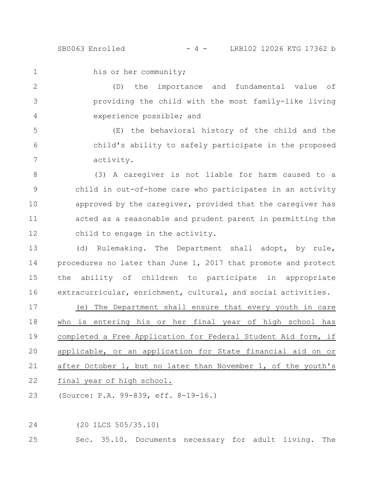1

his or her community;

(D) the importance and fundamental value of providing the child with the most family-like living experience possible; and 2 3 4

(E) the behavioral history of the child and the child's ability to safely participate in the proposed activity. 5 6 7

(3) A caregiver is not liable for harm caused to a child in out-of-home care who participates in an activity approved by the caregiver, provided that the caregiver has acted as a reasonable and prudent parent in permitting the child to engage in the activity. 8 9 10 11 12

(d) Rulemaking. The Department shall adopt, by rule, procedures no later than June 1, 2017 that promote and protect the ability of children to participate in appropriate extracurricular, enrichment, cultural, and social activities. 13 14 15 16

(e) The Department shall ensure that every youth in care who is entering his or her final year of high school has completed a Free Application for Federal Student Aid form, if applicable, or an application for State financial aid on or after October 1, but no later than November 1, of the youth's final year of high school. 17 18 19 20 21 22

(Source: P.A. 99-839, eff. 8-19-16.) 23

(20 ILCS 505/35.10) 24

Sec. 35.10. Documents necessary for adult living. The 25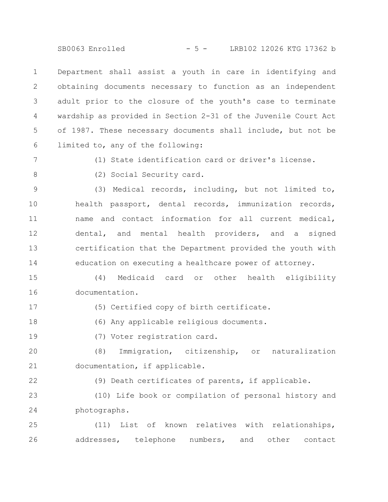SB0063 Enrolled - 5 - LRB102 12026 KTG 17362 b

Department shall assist a youth in care in identifying and obtaining documents necessary to function as an independent adult prior to the closure of the youth's case to terminate wardship as provided in Section 2-31 of the Juvenile Court Act of 1987. These necessary documents shall include, but not be limited to, any of the following: 1 2 3 4 5 6

7

(1) State identification card or driver's license.

8

(2) Social Security card.

(3) Medical records, including, but not limited to, health passport, dental records, immunization records, name and contact information for all current medical, dental, and mental health providers, and a signed certification that the Department provided the youth with education on executing a healthcare power of attorney. 9 10 11 12 13 14

(4) Medicaid card or other health eligibility documentation. 15 16

17

(5) Certified copy of birth certificate.

(6) Any applicable religious documents. 18

19

(7) Voter registration card.

(8) Immigration, citizenship, or naturalization documentation, if applicable. 20 21

22

(9) Death certificates of parents, if applicable.

(10) Life book or compilation of personal history and photographs. 23 24

(11) List of known relatives with relationships, addresses, telephone numbers, and other contact 25 26